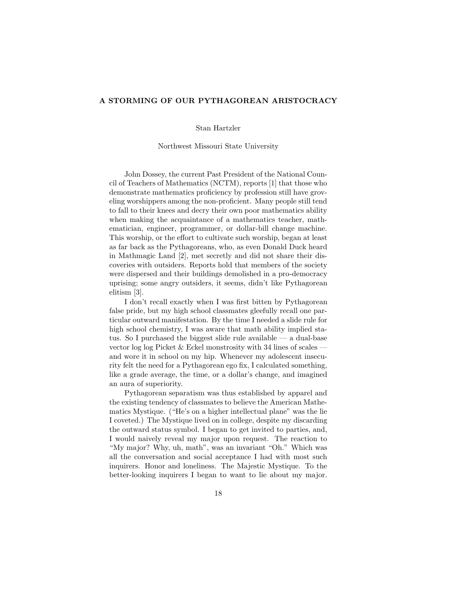## A STORMING OF OUR PYTHAGOREAN ARISTOCRACY

## Stan Hartzler

## Northwest Missouri State University

John Dossey, the current Past President of the National Council of Teachers of Mathematics (NCTM), reports [1] that those who demonstrate mathematics proficiency by profession still have groveling worshippers among the non-proficient. Many people still tend to fall to their knees and decry their own poor mathematics ability when making the acquaintance of a mathematics teacher, mathematician, engineer, programmer, or dollar-bill change machine. This worship, or the effort to cultivate such worship, began at least as far back as the Pythagoreans, who, as even Donald Duck heard in Mathmagic Land [2], met secretly and did not share their discoveries with outsiders. Reports hold that members of the society were dispersed and their buildings demolished in a pro-democracy uprising; some angry outsiders, it seems, didn't like Pythagorean elitism [3].

I don't recall exactly when I was first bitten by Pythagorean false pride, but my high school classmates gleefully recall one particular outward manifestation. By the time I needed a slide rule for high school chemistry, I was aware that math ability implied status. So I purchased the biggest slide rule available — a dual-base vector log log Picket  $&$  Eckel monstrosity with 34 lines of scales and wore it in school on my hip. Whenever my adolescent insecurity felt the need for a Pythagorean ego fix, I calculated something, like a grade average, the time, or a dollar's change, and imagined an aura of superiority.

Pythagorean separatism was thus established by apparel and the existing tendency of classmates to believe the American Mathematics Mystique. ("He's on a higher intellectual plane" was the lie I coveted.) The Mystique lived on in college, despite my discarding the outward status symbol. I began to get invited to parties, and, I would naively reveal my major upon request. The reaction to "My major? Why, uh, math", was an invariant "Oh." Which was all the conversation and social acceptance I had with most such inquirers. Honor and loneliness. The Majestic Mystique. To the better-looking inquirers I began to want to lie about my major.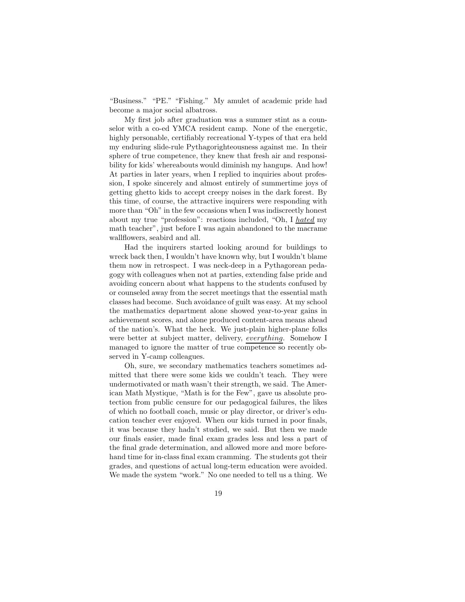"Business." "PE." "Fishing." My amulet of academic pride had become a major social albatross.

My first job after graduation was a summer stint as a counselor with a co-ed YMCA resident camp. None of the energetic, highly personable, certifiably recreational Y-types of that era held my enduring slide-rule Pythagorighteousness against me. In their sphere of true competence, they knew that fresh air and responsibility for kids' whereabouts would diminish my hangups. And how! At parties in later years, when I replied to inquiries about profession, I spoke sincerely and almost entirely of summertime joys of getting ghetto kids to accept creepy noises in the dark forest. By this time, of course, the attractive inquirers were responding with more than "Oh" in the few occasions when I was indiscreetly honest about my true "profession": reactions included, "Oh, I hated my math teacher", just before I was again abandoned to the macrame wallflowers, seabird and all.

Had the inquirers started looking around for buildings to wreck back then, I wouldn't have known why, but I wouldn't blame them now in retrospect. I was neck-deep in a Pythagorean pedagogy with colleagues when not at parties, extending false pride and avoiding concern about what happens to the students confused by or counseled away from the secret meetings that the essential math classes had become. Such avoidance of guilt was easy. At my school the mathematics department alone showed year-to-year gains in achievement scores, and alone produced content-area means ahead of the nation's. What the heck. We just-plain higher-plane folks were better at subject matter, delivery, everything. Somehow I managed to ignore the matter of true competence so recently observed in Y-camp colleagues.

Oh, sure, we secondary mathematics teachers sometimes admitted that there were some kids we couldn't teach. They were undermotivated or math wasn't their strength, we said. The American Math Mystique, "Math is for the Few", gave us absolute protection from public censure for our pedagogical failures, the likes of which no football coach, music or play director, or driver's education teacher ever enjoyed. When our kids turned in poor finals, it was because they hadn't studied, we said. But then we made our finals easier, made final exam grades less and less a part of the final grade determination, and allowed more and more beforehand time for in-class final exam cramming. The students got their grades, and questions of actual long-term education were avoided. We made the system "work." No one needed to tell us a thing. We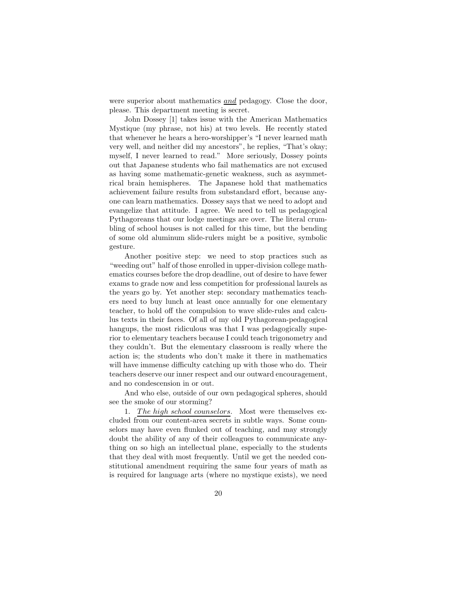were superior about mathematics <u>and</u> pedagogy. Close the door, please. This department meeting is secret.

John Dossey [1] takes issue with the American Mathematics Mystique (my phrase, not his) at two levels. He recently stated that whenever he hears a hero-worshipper's "I never learned math very well, and neither did my ancestors", he replies, "That's okay; myself, I never learned to read." More seriously, Dossey points out that Japanese students who fail mathematics are not excused as having some mathematic-genetic weakness, such as asymmetrical brain hemispheres. The Japanese hold that mathematics achievement failure results from substandard effort, because anyone can learn mathematics. Dossey says that we need to adopt and evangelize that attitude. I agree. We need to tell us pedagogical Pythagoreans that our lodge meetings are over. The literal crumbling of school houses is not called for this time, but the bending of some old aluminum slide-rulers might be a positive, symbolic gesture.

Another positive step: we need to stop practices such as "weeding out" half of those enrolled in upper-division college mathematics courses before the drop deadline, out of desire to have fewer exams to grade now and less competition for professional laurels as the years go by. Yet another step: secondary mathematics teachers need to buy lunch at least once annually for one elementary teacher, to hold off the compulsion to wave slide-rules and calculus texts in their faces. Of all of my old Pythagorean-pedagogical hangups, the most ridiculous was that I was pedagogically superior to elementary teachers because I could teach trigonometry and they couldn't. But the elementary classroom is really where the action is; the students who don't make it there in mathematics will have immense difficulty catching up with those who do. Their teachers deserve our inner respect and our outward encouragement, and no condescension in or out.

And who else, outside of our own pedagogical spheres, should see the smoke of our storming?

1. The high school counselors. Most were themselves excluded from our content-area secrets in subtle ways. Some counselors may have even flunked out of teaching, and may strongly doubt the ability of any of their colleagues to communicate anything on so high an intellectual plane, especially to the students that they deal with most frequently. Until we get the needed constitutional amendment requiring the same four years of math as is required for language arts (where no mystique exists), we need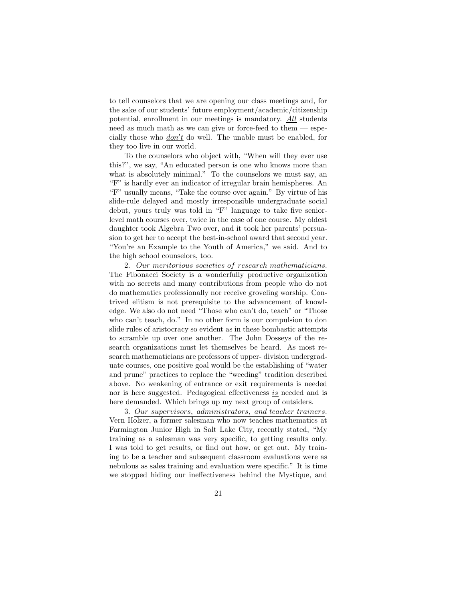to tell counselors that we are opening our class meetings and, for the sake of our students' future employment/academic/citizenship potential, enrollment in our meetings is mandatory. All students need as much math as we can give or force-feed to them  $-$  especially those who  $\frac{don't}{t}$  do well. The unable must be enabled, for they too live in our world.

To the counselors who object with, "When will they ever use this?", we say, "An educated person is one who knows more than what is absolutely minimal." To the counselors we must say, an "F" is hardly ever an indicator of irregular brain hemispheres. An "F" usually means, "Take the course over again." By virtue of his slide-rule delayed and mostly irresponsible undergraduate social debut, yours truly was told in "F" language to take five seniorlevel math courses over, twice in the case of one course. My oldest daughter took Algebra Two over, and it took her parents' persuasion to get her to accept the best-in-school award that second year. "You're an Example to the Youth of America," we said. And to the high school counselors, too.

2. Our meritorious societies of research mathematicians. The Fibonacci Society is a wonderfully productive organization with no secrets and many contributions from people who do not do mathematics professionally nor receive groveling worship. Contrived elitism is not prerequisite to the advancement of knowledge. We also do not need "Those who can't do, teach" or "Those who can't teach, do." In no other form is our compulsion to don slide rules of aristocracy so evident as in these bombastic attempts to scramble up over one another. The John Dosseys of the research organizations must let themselves be heard. As most research mathematicians are professors of upper- division undergraduate courses, one positive goal would be the establishing of "water and prune" practices to replace the "weeding" tradition described above. No weakening of entrance or exit requirements is needed nor is here suggested. Pedagogical effectiveness  $is$  needed and is here demanded. Which brings up my next group of outsiders.

3. Our supervisors, administrators, and teacher trainers. Vern Holzer, a former salesman who now teaches mathematics at Farmington Junior High in Salt Lake City, recently stated, "My training as a salesman was very specific, to getting results only. I was told to get results, or find out how, or get out. My training to be a teacher and subsequent classroom evaluations were as nebulous as sales training and evaluation were specific." It is time we stopped hiding our ineffectiveness behind the Mystique, and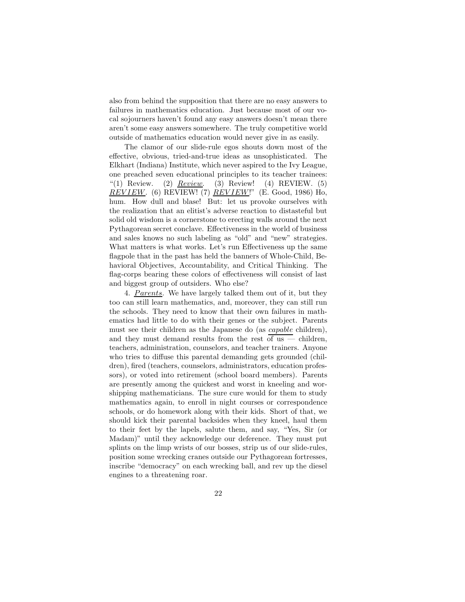also from behind the supposition that there are no easy answers to failures in mathematics education. Just because most of our vocal sojourners haven't found any easy answers doesn't mean there aren't some easy answers somewhere. The truly competitive world outside of mathematics education would never give in as easily.

The clamor of our slide-rule egos shouts down most of the effective, obvious, tried-and-true ideas as unsophisticated. The Elkhart (Indiana) Institute, which never aspired to the Ivy League, one preached seven educational principles to its teacher trainees: "(1) Review. (2)  $Review.$  (3) Review! (4) REVIEW. (5) *REVIEW*. (6) REVIEW! (7) *REVIEW*!" (E. Good, 1986) Ho, hum. How dull and blase! But: let us provoke ourselves with the realization that an elitist's adverse reaction to distasteful but solid old wisdom is a cornerstone to erecting walls around the next Pythagorean secret conclave. Effectiveness in the world of business and sales knows no such labeling as "old" and "new" strategies. What matters is what works. Let's run Effectiveness up the same flagpole that in the past has held the banners of Whole-Child, Behavioral Objectives, Accountability, and Critical Thinking. The flag-corps bearing these colors of effectiveness will consist of last and biggest group of outsiders. Who else?

4. Parents. We have largely talked them out of it, but they too can still learn mathematics, and, moreover, they can still run the schools. They need to know that their own failures in mathematics had little to do with their genes or the subject. Parents must see their children as the Japanese do (as capable children), and they must demand results from the rest of us  $-$  children, teachers, administration, counselors, and teacher trainers. Anyone who tries to diffuse this parental demanding gets grounded (children), fired (teachers, counselors, administrators, education professors), or voted into retirement (school board members). Parents are presently among the quickest and worst in kneeling and worshipping mathematicians. The sure cure would for them to study mathematics again, to enroll in night courses or correspondence schools, or do homework along with their kids. Short of that, we should kick their parental backsides when they kneel, haul them to their feet by the lapels, salute them, and say, "Yes, Sir (or Madam)" until they acknowledge our deference. They must put splints on the limp wrists of our bosses, strip us of our slide-rules, position some wrecking cranes outside our Pythagorean fortresses, inscribe "democracy" on each wrecking ball, and rev up the diesel engines to a threatening roar.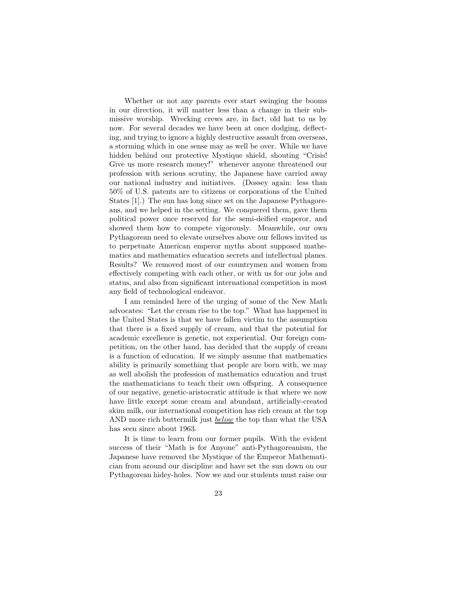Whether or not any parents ever start swinging the booms in our direction, it will matter less than a change in their submissive worship. Wrecking crews are, in fact, old hat to us by now. For several decades we have been at once dodging, deflecting, and trying to ignore a highly destructive assault from overseas, a storming which in one sense may as well be over. While we have hidden behind our protective Mystique shield, shouting "Crisis! Give us more research money!" whenever anyone threatened our profession with serious scrutiny, the Japanese have carried away our national industry and initiatives. (Dossey again: less than 50% of U.S. patents are to citizens or corporations of the United States [1].) The sun has long since set on the Japanese Pythagoreans, and we helped in the setting. We conquered them, gave them political power once reserved for the semi-deified emperor, and showed them how to compete vigorously. Meanwhile, our own Pythagorean need to elevate ourselves above our fellows invited us to perpetuate American emperor myths about supposed mathematics and mathematics education secrets and intellectual planes. Results? We removed most of our countrymen and women from effectively competing with each other, or with us for our jobs and status, and also from significant international competition in most any field of technological endeavor.

I am reminded here of the urging of some of the New Math advocates: "Let the cream rise to the top." What has happened in the United States is that we have fallen victim to the assumption that there is a fixed supply of cream, and that the potential for academic excellence is genetic, not experiential. Our foreign competition, on the other hand, has decided that the supply of cream is a function of education. If we simply assume that mathematics ability is primarily something that people are born with, we may as well abolish the profession of mathematics education and trust the mathematicians to teach their own offspring. A consequence of our negative, genetic-aristocratic attitude is that where we now have little except some cream and abundant, artificially-created skim milk, our international competition has rich cream at the top AND more rich buttermilk just **below** the top than what the USA has seen since about 1963.

It is time to learn from our former pupils. With the evident success of their "Math is for Anyone" anti-Pythagoreanism, the Japanese have removed the Mystique of the Emperor Mathematician from around our discipline and have set the sun down on our Pythagorean hidey-holes. Now we and our students must raise our